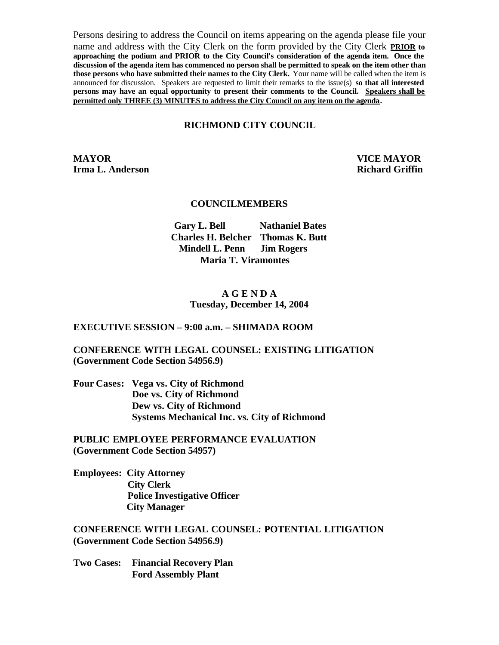Persons desiring to address the Council on items appearing on the agenda please file your name and address with the City Clerk on the form provided by the City Clerk **PRIOR to approaching the podium and PRIOR to the City Council's consideration of the agenda item. Once the discussion of the agenda item has commenced no person shall be permitted to speak on the item other than those persons who have submitted their names to the City Clerk.** Your name will be called when the item is announced for discussion. Speakers are requested to limit their remarks to the issue(s) **so that all interested persons may have an equal opportunity to present their comments to the Council. Speakers shall be permitted only THREE (3) MINUTES to address the City Council on any item on the agenda.**

#### **RICHMOND CITY COUNCIL**

**MAYOR VICE MAYOR Irma L. Anderson Richard Griffin** 

#### **COUNCILMEMBERS**

**Gary L. Bell Nathaniel Bates Charles H. Belcher Thomas K. Butt Mindell L. Penn Jim Rogers Maria T. Viramontes**

#### **A G E N D A Tuesday, December 14, 2004**

#### **EXECUTIVE SESSION – 9:00 a.m. – SHIMADA ROOM**

#### **CONFERENCE WITH LEGAL COUNSEL: EXISTING LITIGATION (Government Code Section 54956.9)**

**Four Cases: Vega vs. City of Richmond Doe vs. City of Richmond Dew vs. City of Richmond Systems Mechanical Inc. vs. City of Richmond**

**PUBLIC EMPLOYEE PERFORMANCE EVALUATION (Government Code Section 54957)**

**Employees: City Attorney City Clerk Police Investigative Officer City Manager** 

**CONFERENCE WITH LEGAL COUNSEL: POTENTIAL LITIGATION (Government Code Section 54956.9)**

**Two Cases: Financial Recovery Plan Ford Assembly Plant**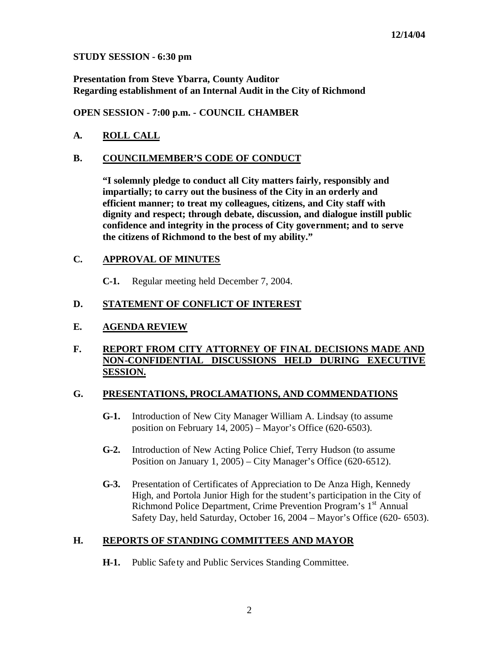#### **STUDY SESSION - 6:30 pm**

**Presentation from Steve Ybarra, County Auditor Regarding establishment of an Internal Audit in the City of Richmond** 

**OPEN SESSION - 7:00 p.m. - COUNCIL CHAMBER**

# **A. ROLL CALL**

### **B. COUNCILMEMBER'S CODE OF CONDUCT**

**"I solemnly pledge to conduct all City matters fairly, responsibly and impartially; to carry out the business of the City in an orderly and efficient manner; to treat my colleagues, citizens, and City staff with dignity and respect; through debate, discussion, and dialogue instill public confidence and integrity in the process of City government; and to serve the citizens of Richmond to the best of my ability."**

### **C. APPROVAL OF MINUTES**

**C-1.** Regular meeting held December 7, 2004.

## **D. STATEMENT OF CONFLICT OF INTEREST**

## **E. AGENDA REVIEW**

### **F. REPORT FROM CITY ATTORNEY OF FINAL DECISIONS MADE AND NON-CONFIDENTIAL DISCUSSIONS HELD DURING EXECUTIVE SESSION.**

#### **G. PRESENTATIONS, PROCLAMATIONS, AND COMMENDATIONS**

- **G-1.** Introduction of New City Manager William A. Lindsay (to assume position on February 14, 2005) – Mayor's Office (620-6503).
- **G-2.** Introduction of New Acting Police Chief, Terry Hudson (to assume Position on January 1, 2005) – City Manager's Office (620-6512).
- **G-3.** Presentation of Certificates of Appreciation to De Anza High, Kennedy High, and Portola Junior High for the student's participation in the City of Richmond Police Department, Crime Prevention Program's 1<sup>st</sup> Annual Safety Day, held Saturday, October 16, 2004 – Mayor's Office (620- 6503).

## **H. REPORTS OF STANDING COMMITTEES AND MAYOR**

**H-1.** Public Safety and Public Services Standing Committee.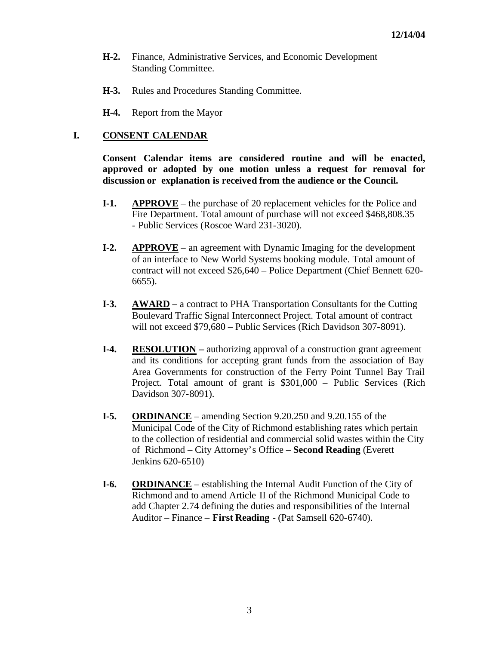- **H-2.** Finance, Administrative Services, and Economic Development Standing Committee.
- **H-3.** Rules and Procedures Standing Committee.
- **H-4.** Report from the Mayor

### **I. CONSENT CALENDAR**

**Consent Calendar items are considered routine and will be enacted, approved or adopted by one motion unless a request for removal for discussion or explanation is received from the audience or the Council.** 

- **I-1. APPROVE** the purchase of 20 replacement vehicles for the Police and Fire Department. Total amount of purchase will not exceed \$468,808.35 - Public Services (Roscoe Ward 231-3020).
- **I-2. APPROVE** an agreement with Dynamic Imaging for the development of an interface to New World Systems booking module. Total amount of contract will not exceed \$26,640 – Police Department (Chief Bennett 620- 6655).
- **I-3. AWARD** a contract to PHA Transportation Consultants for the Cutting Boulevard Traffic Signal Interconnect Project. Total amount of contract will not exceed \$79,680 – Public Services (Rich Davidson 307-8091).
- **I-4. RESOLUTION –** authorizing approval of a construction grant agreement and its conditions for accepting grant funds from the association of Bay Area Governments for construction of the Ferry Point Tunnel Bay Trail Project. Total amount of grant is \$301,000 – Public Services (Rich Davidson 307-8091).
- **I-5. ORDINANCE** amending Section 9.20.250 and 9.20.155 of the Municipal Code of the City of Richmond establishing rates which pertain to the collection of residential and commercial solid wastes within the City of Richmond – City Attorney's Office – **Second Reading** (Everett Jenkins 620-6510)
- **I-6. ORDINANCE** establishing the Internal Audit Function of the City of Richmond and to amend Article II of the Richmond Municipal Code to add Chapter 2.74 defining the duties and responsibilities of the Internal Auditor – Finance – **First Reading -** (Pat Samsell 620-6740).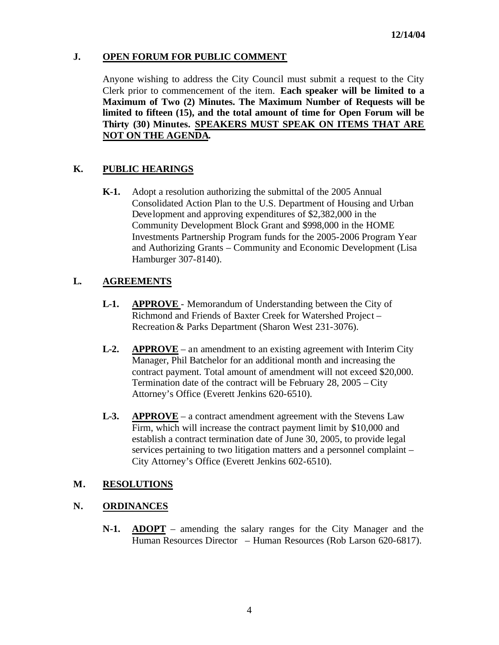## **J. OPEN FORUM FOR PUBLIC COMMENT**

Anyone wishing to address the City Council must submit a request to the City Clerk prior to commencement of the item. **Each speaker will be limited to a Maximum of Two (2) Minutes. The Maximum Number of Requests will be limited to fifteen (15), and the total amount of time for Open Forum will be Thirty (30) Minutes. SPEAKERS MUST SPEAK ON ITEMS THAT ARE NOT ON THE AGENDA.**

# **K. PUBLIC HEARINGS**

**K-1.** Adopt a resolution authorizing the submittal of the 2005 Annual Consolidated Action Plan to the U.S. Department of Housing and Urban Development and approving expenditures of \$2,382,000 in the Community Development Block Grant and \$998,000 in the HOME Investments Partnership Program funds for the 2005-2006 Program Year and Authorizing Grants – Community and Economic Development (Lisa Hamburger 307-8140).

# **L. AGREEMENTS**

- **L-1. APPROVE**  Memorandum of Understanding between the City of Richmond and Friends of Baxter Creek for Watershed Project – Recreation & Parks Department (Sharon West 231-3076).
- **L-2. APPROVE** an amendment to an existing agreement with Interim City Manager, Phil Batchelor for an additional month and increasing the contract payment. Total amount of amendment will not exceed \$20,000. Termination date of the contract will be February 28, 2005 – City Attorney's Office (Everett Jenkins 620-6510).
- **L-3. APPROVE** a contract amendment agreement with the Stevens Law Firm, which will increase the contract payment limit by \$10,000 and establish a contract termination date of June 30, 2005, to provide legal services pertaining to two litigation matters and a personnel complaint – City Attorney's Office (Everett Jenkins 602-6510).

## **M. RESOLUTIONS**

## **N. ORDINANCES**

**N-1. ADOPT** – amending the salary ranges for the City Manager and the Human Resources Director – Human Resources (Rob Larson 620-6817).